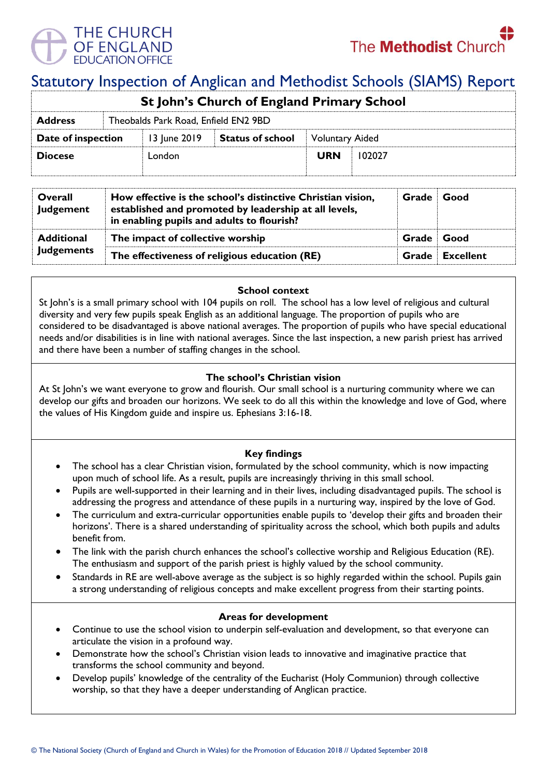

# Statutory Inspection of Anglican and Methodist Schools (SIAMS) Report

| St John's Church of England Primary School |                                      |              |                         |                        |        |  |  |  |
|--------------------------------------------|--------------------------------------|--------------|-------------------------|------------------------|--------|--|--|--|
| <b>Address</b>                             | Theobalds Park Road, Enfield EN2 9BD |              |                         |                        |        |  |  |  |
| Date of inspection                         |                                      | 13 June 2019 | <b>Status of school</b> | <b>Voluntary Aided</b> |        |  |  |  |
| <b>Diocese</b>                             |                                      | London       |                         | <b>URN</b>             | 102027 |  |  |  |
|                                            |                                      |              |                         |                        |        |  |  |  |

| Overall<br><b>Judgement</b>            | How effective is the school's distinctive Christian vision,<br>established and promoted by leadership at all levels,<br>in enabling pupils and adults to flourish? |       | Good      |
|----------------------------------------|--------------------------------------------------------------------------------------------------------------------------------------------------------------------|-------|-----------|
| <b>Additional</b><br><b>Judgements</b> | The impact of collective worship                                                                                                                                   |       | ∣ Good    |
|                                        | The effectiveness of religious education (RE)                                                                                                                      | Grade | Excellent |

# **School context**

St John's is a small primary school with 104 pupils on roll. The school has a low level of religious and cultural diversity and very few pupils speak English as an additional language. The proportion of pupils who are considered to be disadvantaged is above national averages. The proportion of pupils who have special educational needs and/or disabilities is in line with national averages. Since the last inspection, a new parish priest has arrived and there have been a number of staffing changes in the school.

## **The school's Christian vision**

At St John's we want everyone to grow and flourish. Our small school is a nurturing community where we can develop our gifts and broaden our horizons. We seek to do all this within the knowledge and love of God, where the values of His Kingdom guide and inspire us. Ephesians 3:16-18.

# **Key findings**

- The school has a clear Christian vision, formulated by the school community, which is now impacting upon much of school life. As a result, pupils are increasingly thriving in this small school.
- Pupils are well-supported in their learning and in their lives, including disadvantaged pupils. The school is addressing the progress and attendance of these pupils in a nurturing way, inspired by the love of God.
- The curriculum and extra-curricular opportunities enable pupils to 'develop their gifts and broaden their horizons'. There is a shared understanding of spirituality across the school, which both pupils and adults benefit from.
- The link with the parish church enhances the school's collective worship and Religious Education (RE). The enthusiasm and support of the parish priest is highly valued by the school community.
- Standards in RE are well-above average as the subject is so highly regarded within the school. Pupils gain a strong understanding of religious concepts and make excellent progress from their starting points.

#### **Areas for development**

- Continue to use the school vision to underpin self-evaluation and development, so that everyone can articulate the vision in a profound way.
- Demonstrate how the school's Christian vision leads to innovative and imaginative practice that transforms the school community and beyond.
- Develop pupils' knowledge of the centrality of the Eucharist (Holy Communion) through collective worship, so that they have a deeper understanding of Anglican practice.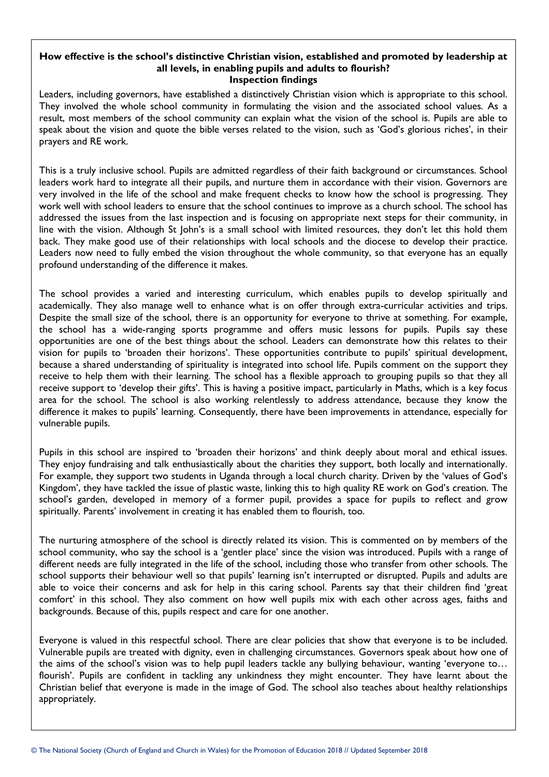#### **How effective is the school's distinctive Christian vision, established and promoted by leadership at all levels, in enabling pupils and adults to flourish? Inspection findings**

Leaders, including governors, have established a distinctively Christian vision which is appropriate to this school. They involved the whole school community in formulating the vision and the associated school values. As a result, most members of the school community can explain what the vision of the school is. Pupils are able to speak about the vision and quote the bible verses related to the vision, such as 'God's glorious riches', in their prayers and RE work.

This is a truly inclusive school. Pupils are admitted regardless of their faith background or circumstances. School leaders work hard to integrate all their pupils, and nurture them in accordance with their vision. Governors are very involved in the life of the school and make frequent checks to know how the school is progressing. They work well with school leaders to ensure that the school continues to improve as a church school. The school has addressed the issues from the last inspection and is focusing on appropriate next steps for their community, in line with the vision. Although St John's is a small school with limited resources, they don't let this hold them back. They make good use of their relationships with local schools and the diocese to develop their practice. Leaders now need to fully embed the vision throughout the whole community, so that everyone has an equally profound understanding of the difference it makes.

The school provides a varied and interesting curriculum, which enables pupils to develop spiritually and academically. They also manage well to enhance what is on offer through extra-curricular activities and trips. Despite the small size of the school, there is an opportunity for everyone to thrive at something. For example, the school has a wide-ranging sports programme and offers music lessons for pupils. Pupils say these opportunities are one of the best things about the school. Leaders can demonstrate how this relates to their vision for pupils to 'broaden their horizons'. These opportunities contribute to pupils' spiritual development, because a shared understanding of spirituality is integrated into school life. Pupils comment on the support they receive to help them with their learning. The school has a flexible approach to grouping pupils so that they all receive support to 'develop their gifts'. This is having a positive impact, particularly in Maths, which is a key focus area for the school. The school is also working relentlessly to address attendance, because they know the difference it makes to pupils' learning. Consequently, there have been improvements in attendance, especially for vulnerable pupils.

Pupils in this school are inspired to 'broaden their horizons' and think deeply about moral and ethical issues. They enjoy fundraising and talk enthusiastically about the charities they support, both locally and internationally. For example, they support two students in Uganda through a local church charity. Driven by the 'values of God's Kingdom', they have tackled the issue of plastic waste, linking this to high quality RE work on God's creation. The school's garden, developed in memory of a former pupil, provides a space for pupils to reflect and grow spiritually. Parents' involvement in creating it has enabled them to flourish, too.

The nurturing atmosphere of the school is directly related its vision. This is commented on by members of the school community, who say the school is a 'gentler place' since the vision was introduced. Pupils with a range of different needs are fully integrated in the life of the school, including those who transfer from other schools. The school supports their behaviour well so that pupils' learning isn't interrupted or disrupted. Pupils and adults are able to voice their concerns and ask for help in this caring school. Parents say that their children find 'great comfort' in this school. They also comment on how well pupils mix with each other across ages, faiths and backgrounds. Because of this, pupils respect and care for one another.

Everyone is valued in this respectful school. There are clear policies that show that everyone is to be included. Vulnerable pupils are treated with dignity, even in challenging circumstances. Governors speak about how one of the aims of the school's vision was to help pupil leaders tackle any bullying behaviour, wanting 'everyone to… flourish'. Pupils are confident in tackling any unkindness they might encounter. They have learnt about the Christian belief that everyone is made in the image of God. The school also teaches about healthy relationships appropriately.